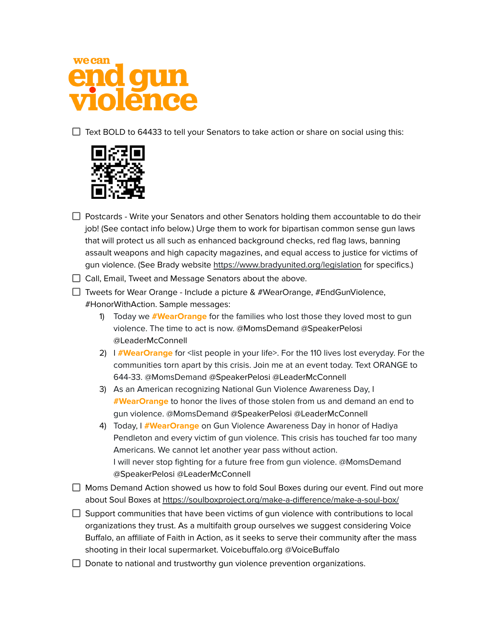

 $\Box$  Text BOLD to 64433 to tell your Senators to take action or share on social using this:



- $\Box$  Postcards Write your Senators and other Senators holding them accountable to do their job! (See contact info below.) Urge them to work for bipartisan common sense gun laws that will protect us all such as enhanced background checks, red flag laws, banning assault weapons and high capacity magazines, and equal access to justice for victims of gun violence. (See Brady website <https://www.bradyunited.org/legislation> for specifics.)
- $\Box$  Call, Email, Tweet and Message Senators about the above.
- $\Box$  Tweets for Wear Orange Include a picture & #WearOrange, #EndGunViolence, #HonorWithAction. Sample messages:
	- 1) Today we **[#WearOrange](https://twitter.com/hashtag/WearOrange?src=hashtag_click)** for the families who lost those they loved most to gun violence. The time to act is now. @MomsDemand @SpeakerPelosi @LeaderMcConnell
	- 2) I **[#WearOrange](https://twitter.com/hashtag/WearOrange?src=hashtag_click)** for <list people in your life>. For the 110 lives lost everyday. For the communities torn apart by this crisis. Join me at an event today. Text ORANGE to 644-33. [@MomsDemand](https://twitter.com/MomsDemand) @SpeakerPelosi @LeaderMcConnell
	- 3) As an American recognizing National Gun Violence Awareness Day, I **[#WearOrange](https://twitter.com/hashtag/WearOrange?src=hashtag_click)** to honor the lives of those stolen from us and demand an end to gun violence. @MomsDemand @SpeakerPelosi @LeaderMcConnell
	- 4) Today, I **[#WearOrange](https://twitter.com/hashtag/WearOrange?src=hashtag_click)** on Gun Violence Awareness Day in honor of Hadiya Pendleton and every victim of gun violence. This crisis has touched far too many Americans. We cannot let another year pass without action. I will never stop fighting for a future free from gun violence. @MomsDemand @SpeakerPelosi @LeaderMcConnell
- $\Box$  Moms Demand Action showed us how to fold Soul Boxes during our event. Find out more about Soul Boxes at <https://soulboxproject.org/make-a-difference/make-a-soul-box/>
- $\Box$  Support communities that have been victims of gun violence with contributions to local organizations they trust. As a multifaith group ourselves we suggest considering Voice Buffalo, an affiliate of Faith in Action, as it seeks to serve their community after the mass shooting in their local supermarket. Voicebuffalo.org @VoiceBuffalo
- $\Box$  Donate to national and trustworthy gun violence prevention organizations.